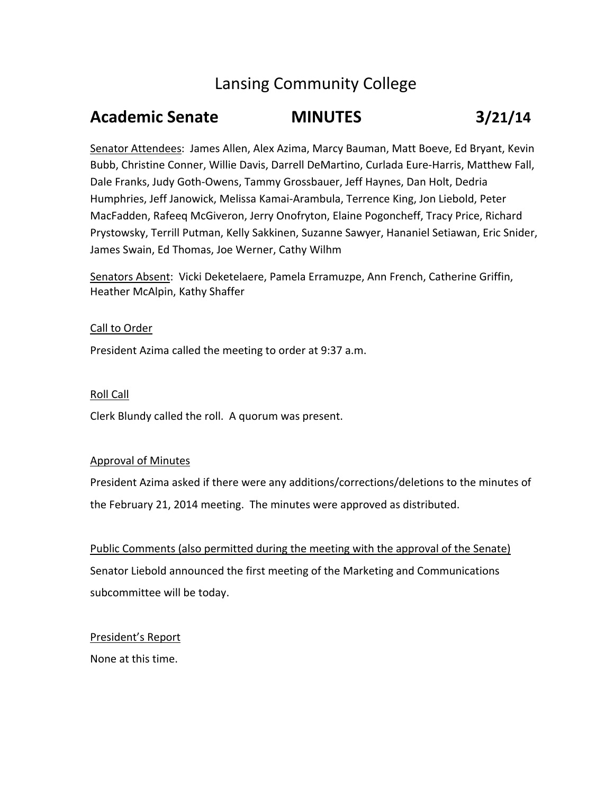# Lansing Community College

# **Academic Senate MINUTES 3/21/14**

Senator Attendees: James Allen, Alex Azima, Marcy Bauman, Matt Boeve, Ed Bryant, Kevin Bubb, Christine Conner, Willie Davis, Darrell DeMartino, Curlada Eure‐Harris, Matthew Fall, Dale Franks, Judy Goth‐Owens, Tammy Grossbauer, Jeff Haynes, Dan Holt, Dedria Humphries, Jeff Janowick, Melissa Kamai‐Arambula, Terrence King, Jon Liebold, Peter MacFadden, Rafeeq McGiveron, Jerry Onofryton, Elaine Pogoncheff, Tracy Price, Richard Prystowsky, Terrill Putman, Kelly Sakkinen, Suzanne Sawyer, Hananiel Setiawan, Eric Snider, James Swain, Ed Thomas, Joe Werner, Cathy Wilhm

Senators Absent: Vicki Deketelaere, Pamela Erramuzpe, Ann French, Catherine Griffin, Heather McAlpin, Kathy Shaffer

### Call to Order

President Azima called the meeting to order at 9:37 a.m.

### Roll Call

Clerk Blundy called the roll. A quorum was present.

### Approval of Minutes

President Azima asked if there were any additions/corrections/deletions to the minutes of the February 21, 2014 meeting. The minutes were approved as distributed.

Public Comments (also permitted during the meeting with the approval of the Senate) Senator Liebold announced the first meeting of the Marketing and Communications subcommittee will be today.

President's Report

None at this time.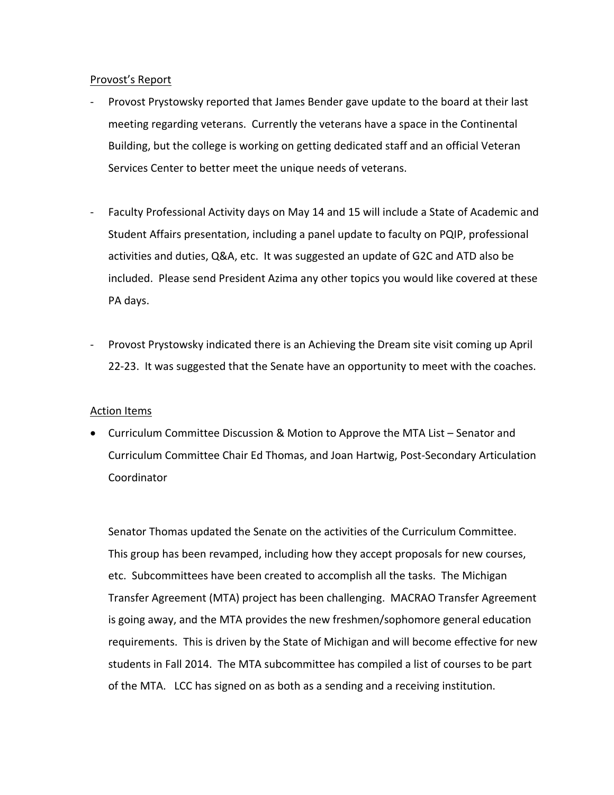### Provost's Report

- ‐ Provost Prystowsky reported that James Bender gave update to the board at their last meeting regarding veterans. Currently the veterans have a space in the Continental Building, but the college is working on getting dedicated staff and an official Veteran Services Center to better meet the unique needs of veterans.
- ‐ Faculty Professional Activity days on May 14 and 15 will include a State of Academic and Student Affairs presentation, including a panel update to faculty on PQIP, professional activities and duties, Q&A, etc. It was suggested an update of G2C and ATD also be included. Please send President Azima any other topics you would like covered at these PA days.
- ‐ Provost Prystowsky indicated there is an Achieving the Dream site visit coming up April 22-23. It was suggested that the Senate have an opportunity to meet with the coaches.

### Action Items

 Curriculum Committee Discussion & Motion to Approve the MTA List – Senator and Curriculum Committee Chair Ed Thomas, and Joan Hartwig, Post‐Secondary Articulation Coordinator

Senator Thomas updated the Senate on the activities of the Curriculum Committee. This group has been revamped, including how they accept proposals for new courses, etc. Subcommittees have been created to accomplish all the tasks. The Michigan Transfer Agreement (MTA) project has been challenging. MACRAO Transfer Agreement is going away, and the MTA provides the new freshmen/sophomore general education requirements. This is driven by the State of Michigan and will become effective for new students in Fall 2014. The MTA subcommittee has compiled a list of courses to be part of the MTA. LCC has signed on as both as a sending and a receiving institution.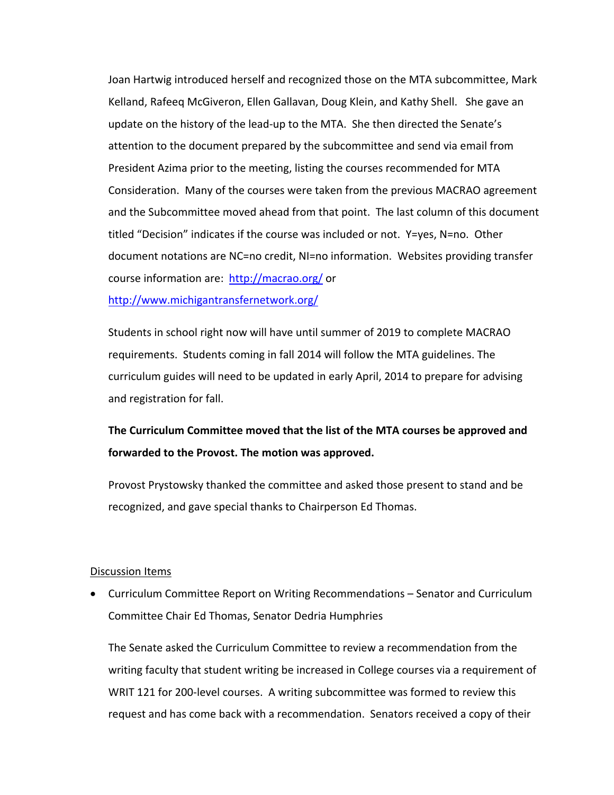Joan Hartwig introduced herself and recognized those on the MTA subcommittee, Mark Kelland, Rafeeq McGiveron, Ellen Gallavan, Doug Klein, and Kathy Shell. She gave an update on the history of the lead-up to the MTA. She then directed the Senate's attention to the document prepared by the subcommittee and send via email from President Azima prior to the meeting, listing the courses recommended for MTA Consideration. Many of the courses were taken from the previous MACRAO agreement and the Subcommittee moved ahead from that point. The last column of this document titled "Decision" indicates if the course was included or not. Y=yes, N=no. Other document notations are NC=no credit, NI=no information. Websites providing transfer course information are: http://macrao.org/ or http://www.michigantransfernetwork.org/

Students in school right now will have until summer of 2019 to complete MACRAO requirements. Students coming in fall 2014 will follow the MTA guidelines. The curriculum guides will need to be updated in early April, 2014 to prepare for advising and registration for fall.

# **The Curriculum Committee moved that the list of the MTA courses be approved and forwarded to the Provost. The motion was approved.**

Provost Prystowsky thanked the committee and asked those present to stand and be recognized, and gave special thanks to Chairperson Ed Thomas.

### Discussion Items

 Curriculum Committee Report on Writing Recommendations – Senator and Curriculum Committee Chair Ed Thomas, Senator Dedria Humphries

The Senate asked the Curriculum Committee to review a recommendation from the writing faculty that student writing be increased in College courses via a requirement of WRIT 121 for 200-level courses. A writing subcommittee was formed to review this request and has come back with a recommendation. Senators received a copy of their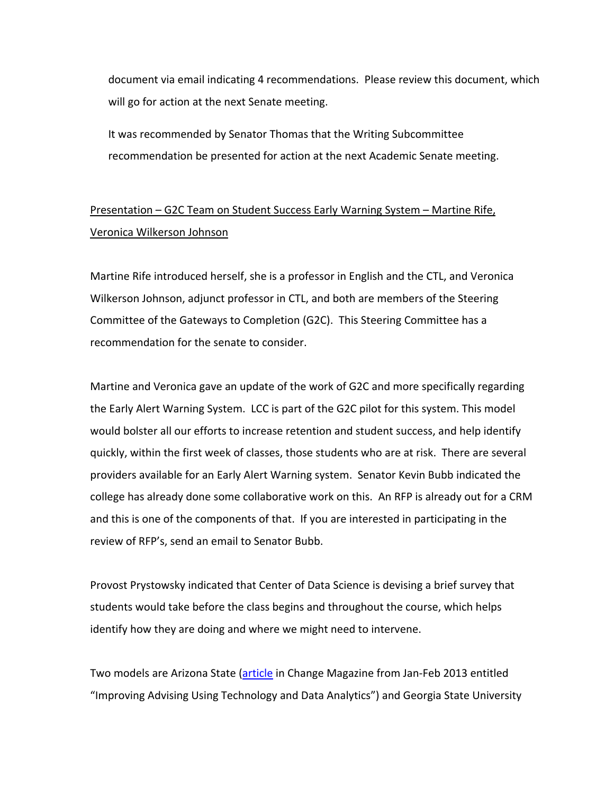document via email indicating 4 recommendations. Please review this document, which will go for action at the next Senate meeting.

It was recommended by Senator Thomas that the Writing Subcommittee recommendation be presented for action at the next Academic Senate meeting.

## Presentation – G2C Team on Student Success Early Warning System – Martine Rife, Veronica Wilkerson Johnson

Martine Rife introduced herself, she is a professor in English and the CTL, and Veronica Wilkerson Johnson, adjunct professor in CTL, and both are members of the Steering Committee of the Gateways to Completion (G2C). This Steering Committee has a recommendation for the senate to consider.

Martine and Veronica gave an update of the work of G2C and more specifically regarding the Early Alert Warning System. LCC is part of the G2C pilot for this system. This model would bolster all our efforts to increase retention and student success, and help identify quickly, within the first week of classes, those students who are at risk. There are several providers available for an Early Alert Warning system. Senator Kevin Bubb indicated the college has already done some collaborative work on this. An RFP is already out for a CRM and this is one of the components of that. If you are interested in participating in the review of RFP's, send an email to Senator Bubb.

Provost Prystowsky indicated that Center of Data Science is devising a brief survey that students would take before the class begins and throughout the course, which helps identify how they are doing and where we might need to intervene.

Two models are Arizona State (article in Change Magazine from Jan-Feb 2013 entitled "Improving Advising Using Technology and Data Analytics") and Georgia State University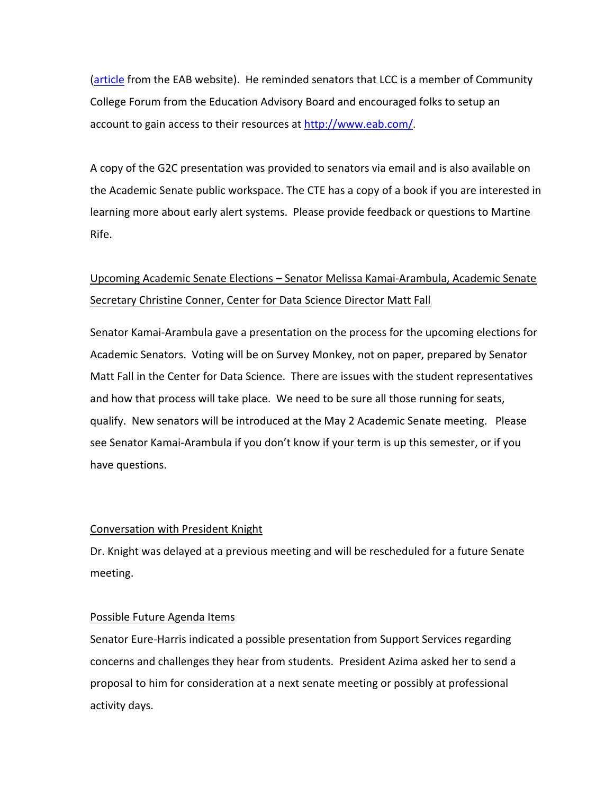(article from the EAB website). He reminded senators that LCC is a member of Community College Forum from the Education Advisory Board and encouraged folks to setup an account to gain access to their resources at http://www.eab.com/.

A copy of the G2C presentation was provided to senators via email and is also available on the Academic Senate public workspace. The CTE has a copy of a book if you are interested in learning more about early alert systems. Please provide feedback or questions to Martine Rife.

## Upcoming Academic Senate Elections – Senator Melissa Kamai‐Arambula, Academic Senate Secretary Christine Conner, Center for Data Science Director Matt Fall

Senator Kamai‐Arambula gave a presentation on the process for the upcoming elections for Academic Senators. Voting will be on Survey Monkey, not on paper, prepared by Senator Matt Fall in the Center for Data Science. There are issues with the student representatives and how that process will take place. We need to be sure all those running for seats, qualify. New senators will be introduced at the May 2 Academic Senate meeting. Please see Senator Kamai‐Arambula if you don't know if your term is up this semester, or if you have questions.

### Conversation with President Knight

Dr. Knight was delayed at a previous meeting and will be rescheduled for a future Senate meeting.

### Possible Future Agenda Items

Senator Eure‐Harris indicated a possible presentation from Support Services regarding concerns and challenges they hear from students. President Azima asked her to send a proposal to him for consideration at a next senate meeting or possibly at professional activity days.